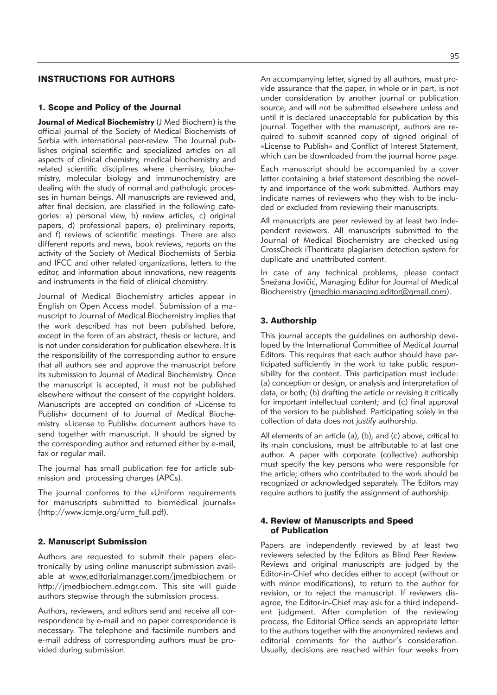# INSTRUCTIONS FOR AUTHORS

### 1. Scope and Policy of the Journal

**Journal of Medical Biochemistry** (J Med Biochem) is the official journal of the Society of Medical Biochemists of Serbia with international peer-review. The Journal publishes original scientific and specialized articles on all aspects of clinical chemistry, medical biochemistry and related scientific disciplines where chemistry, biochemistry, molecular biology and immunochemistry are dealing with the study of normal and pathologic processes in human beings. All manuscripts are reviewed and, after final decision, are classified in the following categories: a) personal view, b) review articles, c) original papers, d) professional papers, e) preliminary reports, and f) reviews of scientific meetings. There are also different reports and news, book reviews, reports on the activity of the Society of Medical Biochemists of Serbia and IFCC and other related organizations, letters to the editor, and information about innovations, new reagents and instruments in the field of clinical chemistry.

Journal of Medical Biochemistry articles appear in English on Open Access model. Submission of a manu script to Journal of Medical Biochemistry implies that the work described has not been published before, except in the form of an abstract, thesis or lecture, and is not under consideration for publication elsewhere. It is the responsibility of the corresponding author to ensure that all authors see and approve the manuscript before its submission to Journal of Medical Biochemistry. Once the manuscript is accepted, it must not be published elsewhere without the consent of the copyright holders. Manuscripts are accepted on condition of »License to Publish« document of to Journal of Medical Biochemistry. »License to Publish« document authors have to send together with manuscript. It should be signed by the corresponding author and returned either by e-mail, fax or regular mail.

The journal has small publication fee for article submission and processing charges (APCs).

The journal conforms to the »Uniform requirements for manuscripts submitted to biomedical journals« (http://www.icmje.org/urm\_full.pdf).

#### 2. Manuscript Submission

Authors are requested to submit their papers electronically by using online manuscript submission available at www.editorialmanager.com/jmedbiochem or http://jmedbiochem.edmgr.com. This site will guide authors stepwise through the submission process.

Authors, reviewers, and editors send and receive all correspondence by e-mail and no paper correspondence is necessary. The telephone and facsimile numbers and e-mail address of corresponding authors must be provided during submission.

95

An accompanying letter, signed by all authors, must provide assurance that the paper, in whole or in part, is not under consideration by another journal or publication source, and will not be submitted elsewhere unless and until it is declared unacceptable for publication by this journal. Together with the manuscript, authors are required to submit scanned copy of signed original of »License to Publish« and Conflict of Interest Statement, which can be downloaded from the journal home page.

Each manuscript should be accompanied by a cover letter containing a brief statement describing the novelty and importance of the work submitted. Authors may indicate names of reviewers who they wish to be included or excluded from reviewing their manuscripts.

All manuscripts are peer reviewed by at least two independent reviewers. All manuscripts submitted to the Journal of Medical Biochemistry are checked using CrossCheck iThenticate plagiarism detection system for duplicate and unattributed content.

In case of any technical problems, please contact Snežana Jovičić, Managing Editor for Journal of Medical Biochemistry (jmedbio.managing.editor@gmail.com).

# 3. Authorship

This journal accepts the guidelines on authorship developed by the International Committee of Medical Journal Editors. This requires that each author should have participated sufficiently in the work to take public responsibility for the content. This participation must include: (a) conception or design, or analysis and interpretation of data, or both; (b) drafting the article or revising it critically for important intellectual content; and (c) final approval of the version to be published. Participating solely in the collection of data does *not justify* authorship.

All elements of an article (a), (b), and (c) above, critical to its main conclusions, must be attributable to at last one author. A paper with corporate (collective) authorship must specify the key persons who were responsible for the article; others who contributed to the work should be re cognized or acknowledged separately. The Editors may require authors to justify the assignment of authorship.

# 4. Review of Manuscripts and Speed of Publication

Papers are independently reviewed by at least two reviewers selected by the Editors as Blind Peer Review. Reviews and original manuscripts are judged by the Editor-in-Chief who decides either to accept (without or with minor modifications), to return to the author for revision, or to reject the manuscript. If reviewers disagree, the Editor-in-Chief may ask for a third independent judgment. After completion of the reviewing process, the Editorial Office sends an appropriate letter to the authors together with the anonymized reviews and editorial comments for the author's consideration. Usually, decisions are reached within four weeks from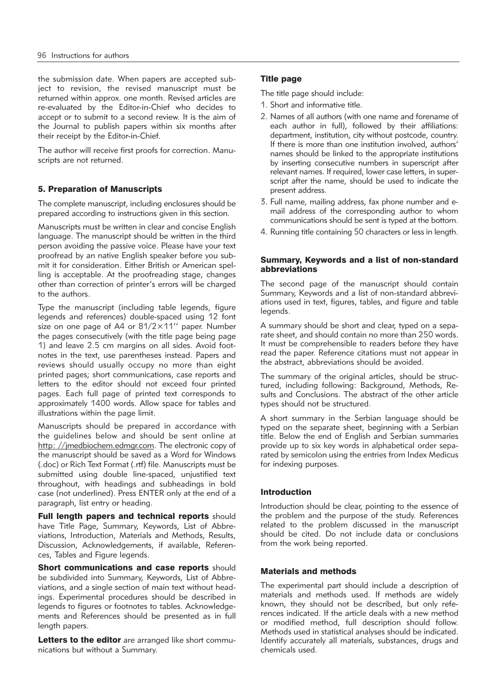the submission date. When papers are accepted subject to revision, the revised manuscript must be returned within approx. one month. Revised articles are re-evaluated by the Editor-in-Chief who decides to accept or to submit to a second review. It is the aim of the Journal to publish papers within six months after their receipt by the Editor-in-Chief.

The author will receive first proofs for correction. Manuscripts are not returned.

# 5. Preparation of Manuscripts

The complete manuscript, including enclosures should be prepared according to instructions given in this section.

Manuscripts must be written in clear and concise English language. The manuscript should be written in the third person avoiding the passive voice. Please have your text proofread by an native English speaker before you submit it for consideration. Either British or American spelling is acceptable. At the proofreading stage, changes other than correction of printer's errors will be charged to the authors.

Type the manuscript (including table legends, figure legends and references) double-spaced using 12 font size on one page of A4 or 81/2×11'' paper. Number the pages consecutively (with the title page being page 1) and leave 2.5 cm margins on all sides. Avoid footnotes in the text, use parentheses instead. Papers and reviews should usually occupy no more than eight printed pages; short communications, case reports and letters to the editor should not exceed four printed pages. Each full page of printed text corresponds to approximately 1400 words. Allow space for tables and illustrations within the page limit.

Manuscripts should be prepared in accordance with the guidelines below and should be sent online at http: //jmedbiochem.edmgr.com. The electronic copy of the manuscript should be saved as a Word for Windows (.doc) or Rich Text Format (.rtf) file. Manuscripts must be submitted using double line-spaced, unjustified text throughout, with headings and subheadings in bold case (not underlined). Press ENTER only at the end of a paragraph, list entry or heading.

Full length papers and technical reports should have Title Page, Summary, Keywords, List of Abbreviations, Introduction, Materials and Methods, Results, Discussion, Acknowledgements, if available, References, Tables and Figure legends.

**Short communications and case reports should** be subdivided into Summary, Keywords, List of Abbreviations, and a single section of main text without headings. Experimental procedures should be described in legends to figures or footnotes to tables. Acknowledgements and References should be presented as in full length papers.

Letters to the editor are arranged like short communications but without a Summary.

## Title page

The title page should include:

- 1. Short and informative title.
- 2. Names of all authors (with one name and forename of each author in full), followed by their affiliations: department, institution, city without postcode, country. If there is more than one institution involved, authors' names should be linked to the appropriate institutions by inserting consecutive numbers in superscript after relevant names. If required, lower case letters, in superscript after the name, should be used to indicate the present address.
- 3. Full name, mailing address, fax phone number and email address of the corresponding author to whom communications should be sent is typed at the bottom.
- 4. Running title containing 50 characters or less in length.

#### Summary, Keywords and a list of non-standard abbreviations

The second page of the manuscript should contain Summary, Keywords and a list of non-standard abbreviations used in text, figures, tables, and figure and table legends.

A summary should be short and clear, typed on a separate sheet, and should contain no more than 250 words. It must be comprehensible to readers before they have read the paper. Reference citations must not appear in the abstract, abbreviations should be avoided.

The summary of the original articles, should be structured, including following: Background, Methods, Results and Conclusions. The abstract of the other article types should not be structured.

A short summary in the Serbian language should be typed on the separate sheet, beginning with a Serbian title. Below the end of English and Serbian summaries provide up to six key words in alphabetical order separated by semicolon using the entries from Index Medicus for indexing purposes.

# Introduction

Introduction should be clear, pointing to the essence of the problem and the purpose of the study. References related to the problem discussed in the manuscript should be cited. Do not include data or conclusions from the work being reported.

# Materials and methods

The experimental part should include a description of materials and methods used. If methods are widely known, they should not be described, but only references indicated. If the article deals with a new method or modified method, full description should follow. Methods used in statistical analyses should be indicated. Identify accurately all materials, substances, drugs and chemicals used.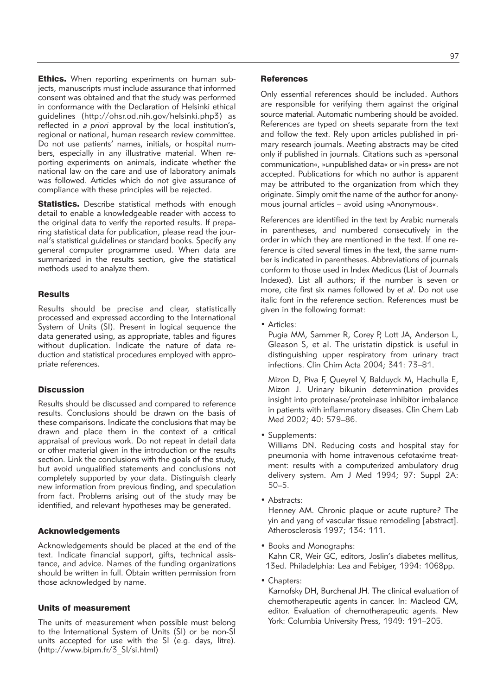**Ethics.** When reporting experiments on human subjects, manuscripts must include assurance that informed consent was obtained and that the study was performed in conformance with the Declaration of Helsinki ethical guidelines (http://ohsr.od.nih.gov/helsinki.php3) as reflected in *a priori* approval by the local institution's, regional or national, human research review committee. Do not use patients' names, initials, or hospital numbers, especially in any illustrative material. When reporting experiments on animals, indicate whether the national law on the care and use of laboratory animals was followed. Articles which do not give assurance of compliance with these principles will be rejected.

**Statistics.** Describe statistical methods with enough detail to enable a knowledgeable reader with access to the original data to verify the reported results. If preparing statistical data for publication, please read the journal's statistical guidelines or standard books. Specify any general computer programme used. When data are summarized in the results section, give the statistical methods used to analyze them.

#### **Results**

Results should be precise and clear, statistically processed and expressed according to the International System of Units (SI). Present in logical sequence the data generated using, as appropriate, tables and figures without duplication. Indicate the nature of data reduction and statistical procedures employed with appropriate references.

# **Discussion**

Results should be discussed and compared to reference results. Conclusions should be drawn on the basis of these comparisons. Indicate the conclusions that may be drawn and place them in the context of a critical appraisal of previous work. Do not repeat in detail data or other material given in the introduction or the results section. Link the conclusions with the goals of the study, but avoid unqualified statements and conclusions not completely supported by your data. Distinguish clearly new information from previous finding, and speculation from fact. Problems arising out of the study may be identified, and relevant hypotheses may be generated.

#### Acknowledgements

Acknowledgements should be placed at the end of the text. Indicate financial support, gifts, technical assistance, and advice. Names of the funding organizations should be written in full. Obtain written permission from those acknowledged by name.

# Units of measurement

The units of measurement when possible must belong to the International System of Units (SI) or be non-SI units accepted for use with the SI (e.g. days, litre). (http://www.bipm.fr/3\_SI/si.html)

#### **References**

Only essential references should be included. Authors are responsible for verifying them against the original source material. Automatic numbering should be avoided. References are typed on sheets separate from the text and follow the text. Rely upon articles published in primary research journals. Meeting abstracts may be cited only if published in journals. Citations such as »personal communication«, »unpublished data« or »in press« are not accepted. Publications for which no author is apparent may be attributed to the organization from which they originate. Simply omit the name of the author for anonymous journal articles – avoid using »Anonymous«.

References are identified in the text by Arabic numerals in parentheses, and numbered consecutively in the order in which they are mentioned in the text. If one reference is cited several times in the text, the same number is indicated in parentheses. Abbreviations of journals conform to those used in Index Medicus (List of Journals Indexed). List all authors; if the number is seven or more, cite first six names followed by *et al*. Do not use italic font in the reference section. References must be given in the following format:

• Articles:

Pugia MM, Sammer R, Corey P, Lott JA, Anderson L, Gleason S, et al. The uristatin dipstick is useful in distinguishing upper respiratory from urinary tract infections. Clin Chim Acta 2004; 341: 73–81.

Mizon D, Piva F, Queyrel V, Balduyck M, Hachulla E, Mizon J. Urinary bikunin determination provides insight into proteinase/proteinase inhibitor imbalance in patients with inflammatory diseases. Clin Chem Lab Med 2002; 40: 579–86.

• Supplements:

Williams DN. Reducing costs and hospital stay for pneumonia with home intravenous cefotaxime treatment: results with a computerized ambulatory drug delivery system. Am J Med 1994; 97: Suppl 2A: 50–5.

• Abstracts:

Henney AM. Chronic plaque or acute rupture? The yin and yang of vascular tissue remodeling [abstract]. Atherosclerosis 1997; 134: 111.

- Books and Monographs: Kahn CR, Weir GC, editors, Joslin's diabetes mellitus, 13ed. Philadelphia: Lea and Febiger, 1994: 1068pp.
- Chapters:

Karnofsky DH, Burchenal JH. The clinical evaluation of chemotherapeutic agents in cancer. In: Macleod CM, editor. Evaluation of chemotherapeutic agents. New York: Columbia University Press, 1949: 191–205.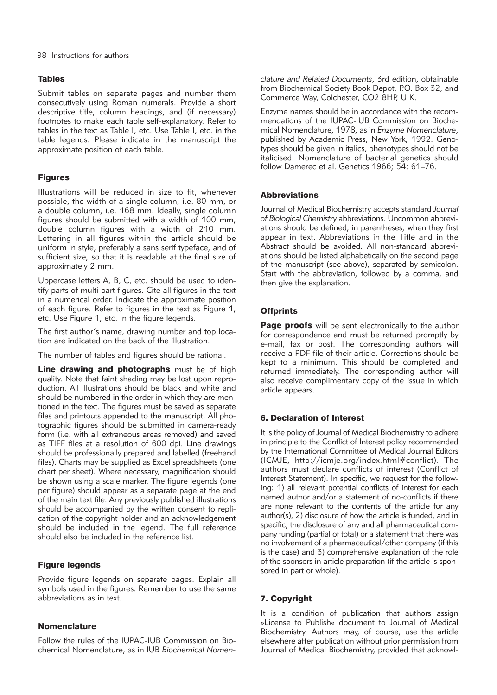# Tables

Submit tables on separate pages and number them consecutively using Roman numerals. Provide a short descriptive title, column headings, and (if necessary) footnotes to make each table self-explanatory. Refer to tables in the text as Table I, etc. Use Table I, etc. in the table legends. Please indicate in the manuscript the approximate position of each table.

# Figures

Illustrations will be reduced in size to fit, whenever possible, the width of a single column, i.e. 80 mm, or a double column, i.e. 168 mm. Ideally, single column figures should be submitted with a width of 100 mm, double column figures with a width of 210 mm. Lettering in all figures within the article should be uniform in style, preferably a sans serif typeface, and of sufficient size, so that it is readable at the final size of approximately 2 mm.

Uppercase letters A, B, C, etc. should be used to identify parts of multi-part figures. Cite all figures in the text in a numerical order. Indicate the approximate position of each figure. Refer to figures in the text as Figure 1, etc. Use Figure 1, etc. in the figure legends.

The first author's name, drawing number and top location are indicated on the back of the illustration.

The number of tables and figures should be rational.

Line drawing and photographs must be of high quality. Note that faint shading may be lost upon reproduction. All illustrations should be black and white and should be numbered in the order in which they are mentioned in the text. The figures must be saved as separate files and printouts appended to the manuscript. All photographic figures should be submitted in camera-ready form (i.e. with all extraneous areas removed) and saved as TIFF files at a resolution of 600 dpi. Line drawings should be professionally prepared and labelled (freehand files). Charts may be supplied as Excel spreadsheets (one chart per sheet). Where necessary, magnification should be shown using a scale marker. The figure legends (one per figure) should appear as a separate page at the end of the main text file. Any previously published illustrations should be accompanied by the written consent to replication of the copyright holder and an acknowledgement should be included in the legend. The full reference should also be included in the reference list.

# Figure legends

Provide figure legends on separate pages. Explain all symbols used in the figures. Remember to use the same abbreviations as in text.

# Nomenclature

Follow the rules of the IUPAC-IUB Commission on Biochemical Nomenclature, as in IUB *Biochemical Nomen -* *clature and Related Documents*, 3rd edition, obtainable from Biochemical Society Book Depot, P.O. Box 32, and Commerce Way, Colchester, CO2 8HP, U.K.

Enzyme names should be in accordance with the recommendations of the IUPAC-IUB Commission on Biochemical Nomenclature, 1978, as in *Enzyme Nomenclature*, published by Academic Press, New York, 1992. Genotypes should be given in italics, phenotypes should not be italicised. Nomenclature of bacterial genetics should follow Damerec et al. Genetics 1966; 54: 61–76.

# Abbreviations

Journal of Medical Biochemistry accepts standard *Journal* of Biological Chemistry abbreviations. Uncommon abbreviations should be defined, in parentheses, when they first appear in text. Abbreviations in the Title and in the Abstract should be avoided. All non-standard abbrevi ations should be listed alphabetically on the second page of the manuscript (see above), separated by semicolon. Start with the abbreviation, followed by a comma, and then give the explanation.

# **Offprints**

Page proofs will be sent electronically to the author for correspondence and must be returned promptly by e-mail, fax or post. The corresponding authors will receive a PDF file of their article. Corrections should be kept to a minimum. This should be completed and returned immediately. The corresponding author will also receive complimentary copy of the issue in which article appears.

# 6. Declaration of Interest

It is the policy of Journal of Medical Biochemistry to adhere in principle to the Conflict of Interest policy recommended by the International Committee of Medical Journal Editors (ICMJE, http://icmje.org/index.html#conflict). The authors must declare conflicts of interest (Conflict of Interest Statement). In specific, we request for the following: 1) all relevant potential conflicts of interest for each named author and/or a statement of no-conflicts if there are none relevant to the contents of the article for any author(s), 2) disclosure of how the article is funded, and in specific, the disclosure of any and all pharmaceutical company funding (partial of total) or a statement that there was no involvement of a pharmaceutical/other company (if this is the case) and 3) comprehensive explanation of the role of the sponsors in article preparation (if the article is sponsored in part or whole).

# 7. Copyright

It is a condition of publication that authors assign »License to Publish« document to Journal of Medical Biochemistry. Authors may, of course, use the article elsewhere after publication without prior permission from Journal of Medical Biochemistry, provided that acknowl